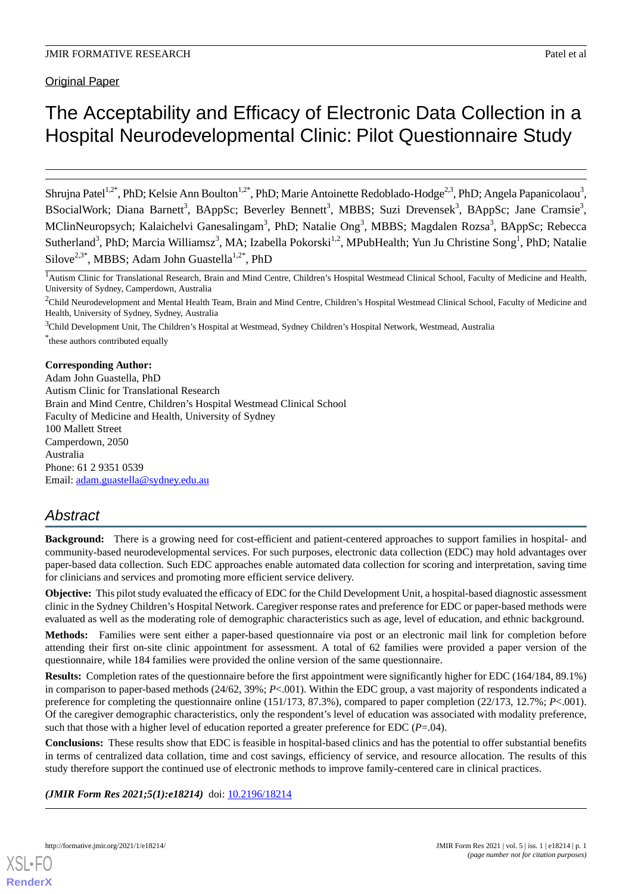# The Acceptability and Efficacy of Electronic Data Collection in a Hospital Neurodevelopmental Clinic: Pilot Questionnaire Study

Shrujna Patel<sup>1,2\*</sup>, PhD; Kelsie Ann Boulton<sup>1,2\*</sup>, PhD; Marie Antoinette Redoblado-Hodge<sup>2,3</sup>, PhD; Angela Papanicolaou<sup>3</sup>, BSocialWork; Diana Barnett<sup>3</sup>, BAppSc; Beverley Bennett<sup>3</sup>, MBBS; Suzi Drevensek<sup>3</sup>, BAppSc; Jane Cramsie<sup>3</sup>, MClinNeuropsych; Kalaichelvi Ganesalingam<sup>3</sup>, PhD; Natalie Ong<sup>3</sup>, MBBS; Magdalen Rozsa<sup>3</sup>, BAppSc; Rebecca Sutherland<sup>3</sup>, PhD; Marcia Williamsz<sup>3</sup>, MA; Izabella Pokorski<sup>1,2</sup>, MPubHealth; Yun Ju Christine Song<sup>1</sup>, PhD; Natalie Silove<sup>2,3\*</sup>, MBBS; Adam John Guastella<sup>1,2\*</sup>, PhD

<sup>1</sup>Autism Clinic for Translational Research, Brain and Mind Centre, Children's Hospital Westmead Clinical School, Faculty of Medicine and Health, University of Sydney, Camperdown, Australia

<sup>2</sup>Child Neurodevelopment and Mental Health Team, Brain and Mind Centre, Children's Hospital Westmead Clinical School, Faculty of Medicine and Health, University of Sydney, Sydney, Australia

<sup>3</sup>Child Development Unit, The Children's Hospital at Westmead, Sydney Children's Hospital Network, Westmead, Australia \* these authors contributed equally

## **Corresponding Author:**

Adam John Guastella, PhD Autism Clinic for Translational Research Brain and Mind Centre, Children's Hospital Westmead Clinical School Faculty of Medicine and Health, University of Sydney 100 Mallett Street Camperdown, 2050 Australia Phone: 61 2 9351 0539 Email: [adam.guastella@sydney.edu.au](mailto:adam.guastella@sydney.edu.au)

# *Abstract*

**Background:** There is a growing need for cost-efficient and patient-centered approaches to support families in hospital- and community-based neurodevelopmental services. For such purposes, electronic data collection (EDC) may hold advantages over paper-based data collection. Such EDC approaches enable automated data collection for scoring and interpretation, saving time for clinicians and services and promoting more efficient service delivery.

**Objective:** This pilot study evaluated the efficacy of EDC for the Child Development Unit, a hospital-based diagnostic assessment clinic in the Sydney Children's Hospital Network. Caregiver response rates and preference for EDC or paper-based methods were evaluated as well as the moderating role of demographic characteristics such as age, level of education, and ethnic background.

**Methods:** Families were sent either a paper-based questionnaire via post or an electronic mail link for completion before attending their first on-site clinic appointment for assessment. A total of 62 families were provided a paper version of the questionnaire, while 184 families were provided the online version of the same questionnaire.

**Results:** Completion rates of the questionnaire before the first appointment were significantly higher for EDC (164/184, 89.1%) in comparison to paper-based methods (24/62, 39%; *P*<.001). Within the EDC group, a vast majority of respondents indicated a preference for completing the questionnaire online (151/173, 87.3%), compared to paper completion (22/173, 12.7%; *P*<.001). Of the caregiver demographic characteristics, only the respondent's level of education was associated with modality preference, such that those with a higher level of education reported a greater preference for EDC (*P*=.04).

**Conclusions:** These results show that EDC is feasible in hospital-based clinics and has the potential to offer substantial benefits in terms of centralized data collation, time and cost savings, efficiency of service, and resource allocation. The results of this study therefore support the continued use of electronic methods to improve family-centered care in clinical practices.

*(JMIR Form Res 2021;5(1):e18214)* doi:  $10.2196/18214$ 

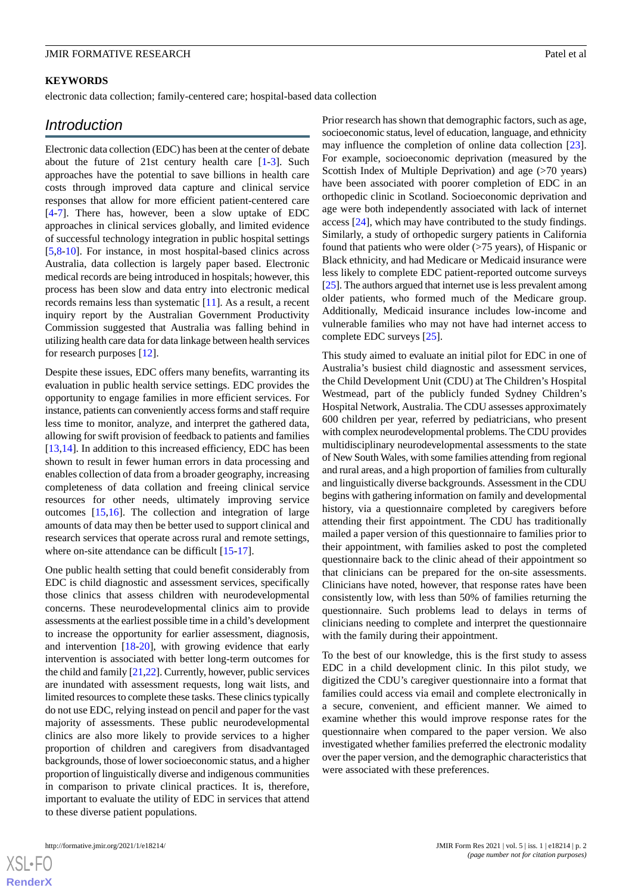#### **KEYWORDS**

electronic data collection; family-centered care; hospital-based data collection

# *Introduction*

Electronic data collection (EDC) has been at the center of debate about the future of 21st century health care [[1-](#page-6-0)[3](#page-6-1)]. Such approaches have the potential to save billions in health care costs through improved data capture and clinical service responses that allow for more efficient patient-centered care [[4](#page-6-2)[-7](#page-7-0)]. There has, however, been a slow uptake of EDC approaches in clinical services globally, and limited evidence of successful technology integration in public hospital settings [[5](#page-7-1)[,8](#page-7-2)-[10\]](#page-7-3). For instance, in most hospital-based clinics across Australia, data collection is largely paper based. Electronic medical records are being introduced in hospitals; however, this process has been slow and data entry into electronic medical records remains less than systematic [\[11](#page-7-4)]. As a result, a recent inquiry report by the Australian Government Productivity Commission suggested that Australia was falling behind in utilizing health care data for data linkage between health services for research purposes [[12\]](#page-7-5).

Despite these issues, EDC offers many benefits, warranting its evaluation in public health service settings. EDC provides the opportunity to engage families in more efficient services. For instance, patients can conveniently access forms and staff require less time to monitor, analyze, and interpret the gathered data, allowing for swift provision of feedback to patients and families [[13](#page-7-6)[,14](#page-7-7)]. In addition to this increased efficiency, EDC has been shown to result in fewer human errors in data processing and enables collection of data from a broader geography, increasing completeness of data collation and freeing clinical service resources for other needs, ultimately improving service outcomes [[15,](#page-7-8)[16](#page-7-9)]. The collection and integration of large amounts of data may then be better used to support clinical and research services that operate across rural and remote settings, where on-site attendance can be difficult [\[15](#page-7-8)-[17\]](#page-7-10).

One public health setting that could benefit considerably from EDC is child diagnostic and assessment services, specifically those clinics that assess children with neurodevelopmental concerns. These neurodevelopmental clinics aim to provide assessments at the earliest possible time in a child's development to increase the opportunity for earlier assessment, diagnosis, and intervention [[18](#page-7-11)[-20](#page-7-12)], with growing evidence that early intervention is associated with better long-term outcomes for the child and family [\[21](#page-7-13)[,22](#page-7-14)]. Currently, however, public services are inundated with assessment requests, long wait lists, and limited resources to complete these tasks. These clinics typically do not use EDC, relying instead on pencil and paper for the vast majority of assessments. These public neurodevelopmental clinics are also more likely to provide services to a higher proportion of children and caregivers from disadvantaged backgrounds, those of lower socioeconomic status, and a higher proportion of linguistically diverse and indigenous communities in comparison to private clinical practices. It is, therefore, important to evaluate the utility of EDC in services that attend to these diverse patient populations.

Prior research has shown that demographic factors, such as age, socioeconomic status, level of education, language, and ethnicity may influence the completion of online data collection [[23\]](#page-7-15). For example, socioeconomic deprivation (measured by the Scottish Index of Multiple Deprivation) and age (>70 years) have been associated with poorer completion of EDC in an orthopedic clinic in Scotland. Socioeconomic deprivation and age were both independently associated with lack of internet access [[24\]](#page-7-16), which may have contributed to the study findings. Similarly, a study of orthopedic surgery patients in California found that patients who were older (>75 years), of Hispanic or Black ethnicity, and had Medicare or Medicaid insurance were less likely to complete EDC patient-reported outcome surveys [[25\]](#page-7-17). The authors argued that internet use is less prevalent among older patients, who formed much of the Medicare group. Additionally, Medicaid insurance includes low-income and vulnerable families who may not have had internet access to complete EDC surveys [\[25](#page-7-17)].

This study aimed to evaluate an initial pilot for EDC in one of Australia's busiest child diagnostic and assessment services, the Child Development Unit (CDU) at The Children's Hospital Westmead, part of the publicly funded Sydney Children's Hospital Network, Australia. The CDU assesses approximately 600 children per year, referred by pediatricians, who present with complex neurodevelopmental problems. The CDU provides multidisciplinary neurodevelopmental assessments to the state of New South Wales, with some families attending from regional and rural areas, and a high proportion of families from culturally and linguistically diverse backgrounds. Assessment in the CDU begins with gathering information on family and developmental history, via a questionnaire completed by caregivers before attending their first appointment. The CDU has traditionally mailed a paper version of this questionnaire to families prior to their appointment, with families asked to post the completed questionnaire back to the clinic ahead of their appointment so that clinicians can be prepared for the on-site assessments. Clinicians have noted, however, that response rates have been consistently low, with less than 50% of families returning the questionnaire. Such problems lead to delays in terms of clinicians needing to complete and interpret the questionnaire with the family during their appointment.

To the best of our knowledge, this is the first study to assess EDC in a child development clinic. In this pilot study, we digitized the CDU's caregiver questionnaire into a format that families could access via email and complete electronically in a secure, convenient, and efficient manner. We aimed to examine whether this would improve response rates for the questionnaire when compared to the paper version. We also investigated whether families preferred the electronic modality over the paper version, and the demographic characteristics that were associated with these preferences.

 $XSI - F($ **[RenderX](http://www.renderx.com/)**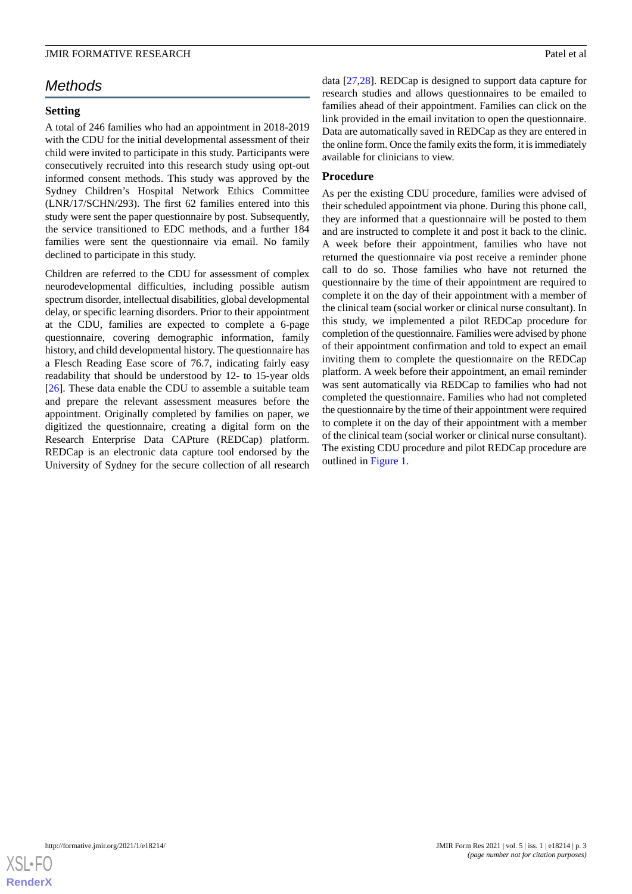# *Methods*

#### **Setting**

A total of 246 families who had an appointment in 2018-2019 with the CDU for the initial developmental assessment of their child were invited to participate in this study. Participants were consecutively recruited into this research study using opt-out informed consent methods. This study was approved by the Sydney Children's Hospital Network Ethics Committee (LNR/17/SCHN/293). The first 62 families entered into this study were sent the paper questionnaire by post. Subsequently, the service transitioned to EDC methods, and a further 184 families were sent the questionnaire via email. No family declined to participate in this study.

Children are referred to the CDU for assessment of complex neurodevelopmental difficulties, including possible autism spectrum disorder, intellectual disabilities, global developmental delay, or specific learning disorders. Prior to their appointment at the CDU, families are expected to complete a 6-page questionnaire, covering demographic information, family history, and child developmental history. The questionnaire has a Flesch Reading Ease score of 76.7, indicating fairly easy readability that should be understood by 12- to 15-year olds [[26\]](#page-7-18). These data enable the CDU to assemble a suitable team and prepare the relevant assessment measures before the appointment. Originally completed by families on paper, we digitized the questionnaire, creating a digital form on the Research Enterprise Data CAPture (REDCap) platform. REDCap is an electronic data capture tool endorsed by the University of Sydney for the secure collection of all research

data [[27,](#page-7-19)[28](#page-8-0)]. REDCap is designed to support data capture for research studies and allows questionnaires to be emailed to families ahead of their appointment. Families can click on the link provided in the email invitation to open the questionnaire. Data are automatically saved in REDCap as they are entered in the online form. Once the family exits the form, it is immediately available for clinicians to view.

#### **Procedure**

As per the existing CDU procedure, families were advised of their scheduled appointment via phone. During this phone call, they are informed that a questionnaire will be posted to them and are instructed to complete it and post it back to the clinic. A week before their appointment, families who have not returned the questionnaire via post receive a reminder phone call to do so. Those families who have not returned the questionnaire by the time of their appointment are required to complete it on the day of their appointment with a member of the clinical team (social worker or clinical nurse consultant). In this study, we implemented a pilot REDCap procedure for completion of the questionnaire. Families were advised by phone of their appointment confirmation and told to expect an email inviting them to complete the questionnaire on the REDCap platform. A week before their appointment, an email reminder was sent automatically via REDCap to families who had not completed the questionnaire. Families who had not completed the questionnaire by the time of their appointment were required to complete it on the day of their appointment with a member of the clinical team (social worker or clinical nurse consultant). The existing CDU procedure and pilot REDCap procedure are outlined in [Figure 1.](#page-3-0)

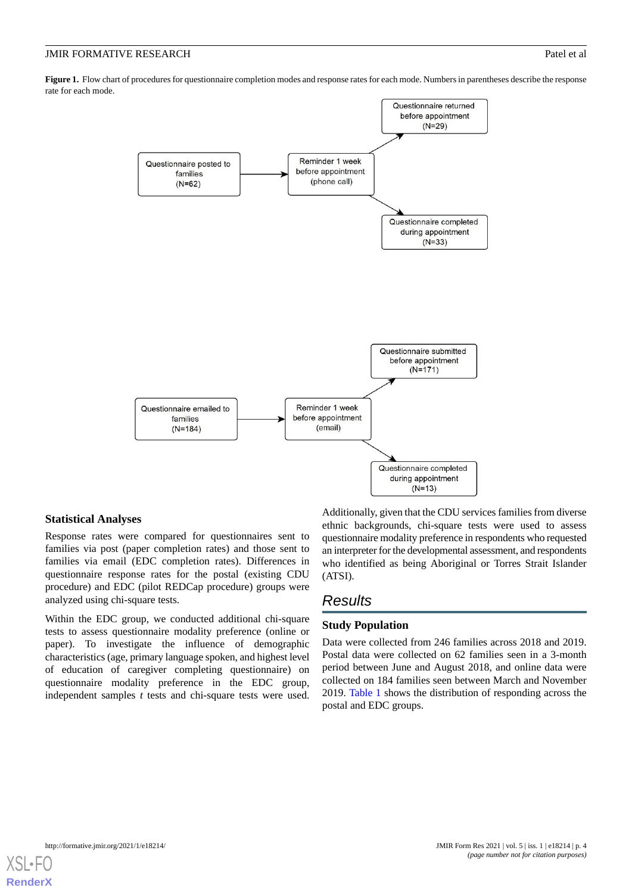<span id="page-3-0"></span>**Figure 1.** Flow chart of procedures for questionnaire completion modes and response rates for each mode. Numbers in parentheses describe the response rate for each mode.



#### **Statistical Analyses**

Response rates were compared for questionnaires sent to families via post (paper completion rates) and those sent to families via email (EDC completion rates). Differences in questionnaire response rates for the postal (existing CDU procedure) and EDC (pilot REDCap procedure) groups were analyzed using chi-square tests.

Within the EDC group, we conducted additional chi-square tests to assess questionnaire modality preference (online or paper). To investigate the influence of demographic characteristics (age, primary language spoken, and highest level of education of caregiver completing questionnaire) on questionnaire modality preference in the EDC group, independent samples *t* tests and chi-square tests were used. Additionally, given that the CDU services families from diverse ethnic backgrounds, chi-square tests were used to assess questionnaire modality preference in respondents who requested an interpreter for the developmental assessment, and respondents who identified as being Aboriginal or Torres Strait Islander (ATSI).

# *Results*

# **Study Population**

Data were collected from 246 families across 2018 and 2019. Postal data were collected on 62 families seen in a 3-month period between June and August 2018, and online data were collected on 184 families seen between March and November 2019. [Table 1](#page-4-0) shows the distribution of responding across the postal and EDC groups.

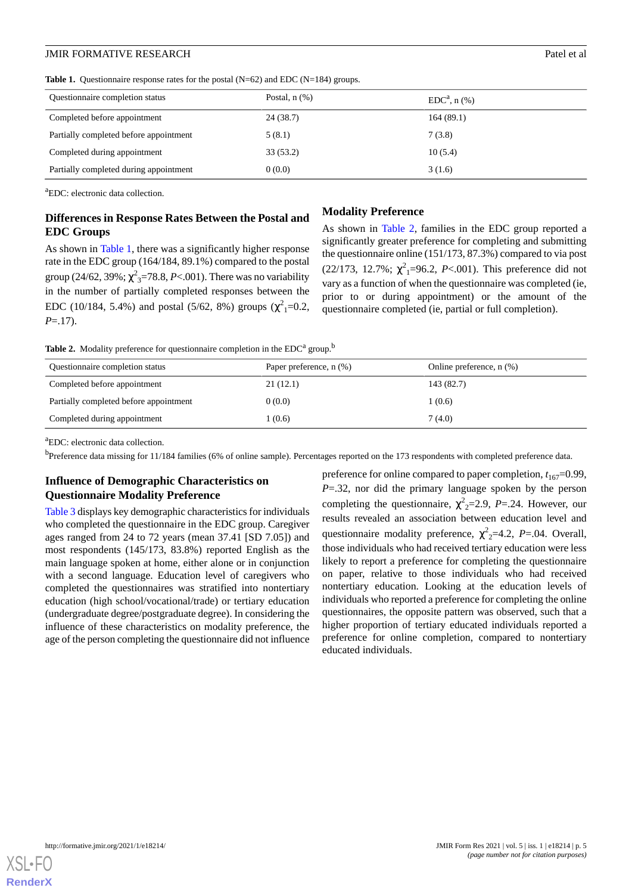| Questionnaire completion status        | Postal, $n$ $(\%)$ | $EDCa$ , n $(\%)$ |
|----------------------------------------|--------------------|-------------------|
| Completed before appointment           | 24 (38.7)          | 164(89.1)         |
| Partially completed before appointment | 5(8.1)             | 7(3.8)            |
| Completed during appointment           | 33(53.2)           | 10(5.4)           |
| Partially completed during appointment | 0(0.0)             | 3(1.6)            |

<span id="page-4-0"></span>Table 1. Questionnaire response rates for the postal (N=62) and EDC (N=184) groups.

<sup>a</sup>EDC: electronic data collection.

## **Differences in Response Rates Between the Postal and EDC Groups**

As shown in [Table 1](#page-4-0), there was a significantly higher response rate in the EDC group (164/184, 89.1%) compared to the postal group (24/62, 39%;  $\chi^{2}{}_{3}$ =78.8, *P*<.001). There was no variability in the number of partially completed responses between the EDC (10/184, 5.4%) and postal (5/62, 8%) groups ( $\chi^2$ <sub>1</sub>=0.2, *P*=.17).

#### **Modality Preference**

As shown in [Table 2](#page-4-1), families in the EDC group reported a significantly greater preference for completing and submitting the questionnaire online (151/173, 87.3%) compared to via post  $(22/173, 12.7\%; \chi^2_1=96.2, P<.001)$ . This preference did not vary as a function of when the questionnaire was completed (ie, prior to or during appointment) or the amount of the questionnaire completed (ie, partial or full completion).

<span id="page-4-1"></span>**Table 2.** Modality preference for questionnaire completion in the  $EDC<sup>a</sup>$  group.<sup>b</sup>

| Questionnaire completion status        | Paper preference, n (%) | Online preference, $n$ $(\%)$ |
|----------------------------------------|-------------------------|-------------------------------|
| Completed before appointment           | 21(12.1)                | 143 (82.7)                    |
| Partially completed before appointment | 0(0.0)                  | 1(0.6)                        |
| Completed during appointment           | 1(0.6)                  | 7(4.0)                        |

<sup>a</sup>EDC: electronic data collection.

**b**Preference data missing for 11/184 families (6% of online sample). Percentages reported on the 173 respondents with completed preference data.

# **Influence of Demographic Characteristics on Questionnaire Modality Preference**

[Table 3](#page-5-0) displays key demographic characteristics for individuals who completed the questionnaire in the EDC group. Caregiver ages ranged from 24 to 72 years (mean 37.41 [SD 7.05]) and most respondents (145/173, 83.8%) reported English as the main language spoken at home, either alone or in conjunction with a second language. Education level of caregivers who completed the questionnaires was stratified into nontertiary education (high school/vocational/trade) or tertiary education (undergraduate degree/postgraduate degree). In considering the influence of these characteristics on modality preference, the age of the person completing the questionnaire did not influence

preference for online compared to paper completion,  $t_{167}=0.99$ , *P*=.32, nor did the primary language spoken by the person completing the questionnaire,  $\chi^2$ <sub>2</sub>=2.9, *P*=.24. However, our results revealed an association between education level and questionnaire modality preference,  $\chi^2$ <sub>2</sub>=4.2, *P*=.04. Overall, those individuals who had received tertiary education were less likely to report a preference for completing the questionnaire on paper, relative to those individuals who had received nontertiary education. Looking at the education levels of individuals who reported a preference for completing the online questionnaires, the opposite pattern was observed, such that a higher proportion of tertiary educated individuals reported a preference for online completion, compared to nontertiary educated individuals.

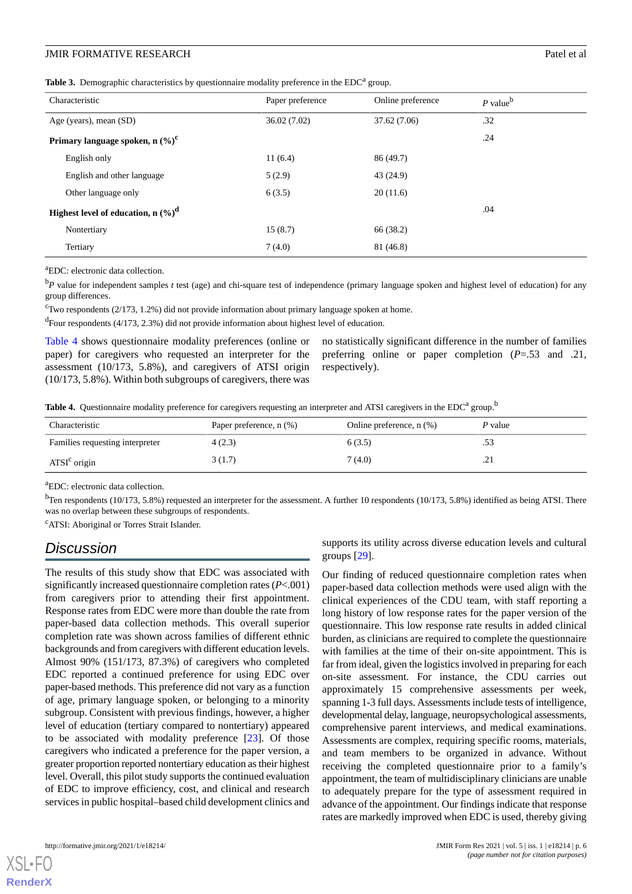<span id="page-5-0"></span>Table 3. Demographic characteristics by questionnaire modality preference in the EDC<sup>a</sup> group.

| Characteristic                                             | Paper preference | Online preference | $P$ value <sup>b</sup> |
|------------------------------------------------------------|------------------|-------------------|------------------------|
| Age (years), mean (SD)                                     | 36.02(7.02)      | 37.62 (7.06)      | .32                    |
| Primary language spoken, n $(\%)^c$                        |                  |                   | .24                    |
| English only                                               | 11(6.4)          | 86 (49.7)         |                        |
| English and other language                                 | 5(2.9)           | 43 (24.9)         |                        |
| Other language only                                        | 6(3.5)           | 20(11.6)          |                        |
| Highest level of education, $n \left(\frac{9}{6}\right)^d$ |                  |                   | .04                    |
| Nontertiary                                                | 15(8.7)          | 66 (38.2)         |                        |
| Tertiary                                                   | 7(4.0)           | 81 (46.8)         |                        |

<sup>a</sup>EDC: electronic data collection.

<sup>b</sup>*P* value for independent samples *t* test (age) and chi-square test of independence (primary language spoken and highest level of education) for any group differences.

 $\text{``Two respondents (2/173, 1.2%) did not provide information about primary language spoken at home.}$ 

<sup>d</sup>Four respondents (4/173, 2.3%) did not provide information about highest level of education.

<span id="page-5-1"></span>[Table 4](#page-5-1) shows questionnaire modality preferences (online or paper) for caregivers who requested an interpreter for the assessment (10/173, 5.8%), and caregivers of ATSI origin (10/173, 5.8%). Within both subgroups of caregivers, there was

no statistically significant difference in the number of families preferring online or paper completion (*P*=.53 and .21, respectively).

Table 4. Questionnaire modality preference for caregivers requesting an interpreter and ATSI caregivers in the EDC<sup>a</sup> group.<sup>b</sup>

| Characteristic                  | Paper preference, n (%) | Online preference, $n$ (%) | P value |
|---------------------------------|-------------------------|----------------------------|---------|
| Families requesting interpreter | 4(2.3)                  | 6(3.5)                     | ر ر.    |
| ATSI <sup>c</sup> origin        | 3(1.7)                  | 7 (4.0)                    | ل ک.    |

<sup>a</sup>EDC: electronic data collection.

 $<sup>b</sup>$ Ten respondents (10/173, 5.8%) requested an interpreter for the assessment. A further 10 respondents (10/173, 5.8%) identified as being ATSI. There</sup> was no overlap between these subgroups of respondents.

<sup>c</sup>ATSI: Aboriginal or Torres Strait Islander.

# *Discussion*

The results of this study show that EDC was associated with significantly increased questionnaire completion rates (*P*<.001) from caregivers prior to attending their first appointment. Response rates from EDC were more than double the rate from paper-based data collection methods. This overall superior completion rate was shown across families of different ethnic backgrounds and from caregivers with different education levels. Almost 90% (151/173, 87.3%) of caregivers who completed EDC reported a continued preference for using EDC over paper-based methods. This preference did not vary as a function of age, primary language spoken, or belonging to a minority subgroup. Consistent with previous findings, however, a higher level of education (tertiary compared to nontertiary) appeared to be associated with modality preference [\[23](#page-7-15)]. Of those caregivers who indicated a preference for the paper version, a greater proportion reported nontertiary education as their highest level. Overall, this pilot study supports the continued evaluation of EDC to improve efficiency, cost, and clinical and research services in public hospital–based child development clinics and

supports its utility across diverse education levels and cultural groups [[29\]](#page-8-1).

Our finding of reduced questionnaire completion rates when paper-based data collection methods were used align with the clinical experiences of the CDU team, with staff reporting a long history of low response rates for the paper version of the questionnaire. This low response rate results in added clinical burden, as clinicians are required to complete the questionnaire with families at the time of their on-site appointment. This is far from ideal, given the logistics involved in preparing for each on-site assessment. For instance, the CDU carries out approximately 15 comprehensive assessments per week, spanning 1-3 full days. Assessments include tests of intelligence, developmental delay, language, neuropsychological assessments, comprehensive parent interviews, and medical examinations. Assessments are complex, requiring specific rooms, materials, and team members to be organized in advance. Without receiving the completed questionnaire prior to a family's appointment, the team of multidisciplinary clinicians are unable to adequately prepare for the type of assessment required in advance of the appointment. Our findings indicate that response rates are markedly improved when EDC is used, thereby giving



[XSL](http://www.w3.org/Style/XSL)•FO **[RenderX](http://www.renderx.com/)**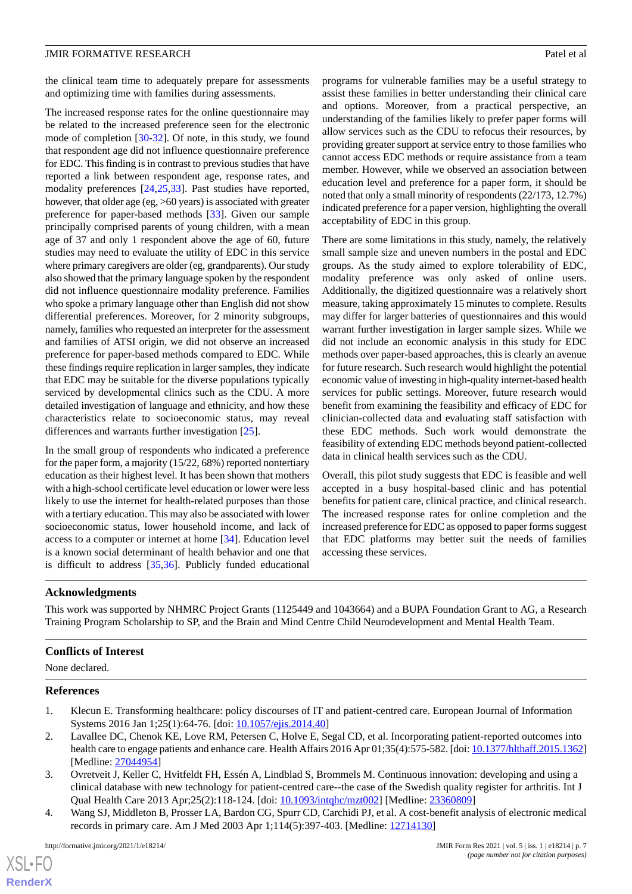the clinical team time to adequately prepare for assessments and optimizing time with families during assessments.

The increased response rates for the online questionnaire may be related to the increased preference seen for the electronic mode of completion [\[30](#page-8-2)-[32\]](#page-8-3). Of note, in this study, we found that respondent age did not influence questionnaire preference for EDC. This finding is in contrast to previous studies that have reported a link between respondent age, response rates, and modality preferences [[24,](#page-7-16)[25](#page-7-17),[33\]](#page-8-4). Past studies have reported, however, that older age (eg, >60 years) is associated with greater preference for paper-based methods [[33\]](#page-8-4). Given our sample principally comprised parents of young children, with a mean age of 37 and only 1 respondent above the age of 60, future studies may need to evaluate the utility of EDC in this service where primary caregivers are older (eg, grandparents). Our study also showed that the primary language spoken by the respondent did not influence questionnaire modality preference. Families who spoke a primary language other than English did not show differential preferences. Moreover, for 2 minority subgroups, namely, families who requested an interpreter for the assessment and families of ATSI origin, we did not observe an increased preference for paper-based methods compared to EDC. While these findings require replication in larger samples, they indicate that EDC may be suitable for the diverse populations typically serviced by developmental clinics such as the CDU. A more detailed investigation of language and ethnicity, and how these characteristics relate to socioeconomic status, may reveal differences and warrants further investigation [[25\]](#page-7-17).

In the small group of respondents who indicated a preference for the paper form, a majority (15/22, 68%) reported nontertiary education as their highest level. It has been shown that mothers with a high-school certificate level education or lower were less likely to use the internet for health-related purposes than those with a tertiary education. This may also be associated with lower socioeconomic status, lower household income, and lack of access to a computer or internet at home [[34\]](#page-8-5). Education level is a known social determinant of health behavior and one that is difficult to address [[35,](#page-8-6)[36](#page-8-7)]. Publicly funded educational

programs for vulnerable families may be a useful strategy to assist these families in better understanding their clinical care and options. Moreover, from a practical perspective, an understanding of the families likely to prefer paper forms will allow services such as the CDU to refocus their resources, by providing greater support at service entry to those families who cannot access EDC methods or require assistance from a team member. However, while we observed an association between education level and preference for a paper form, it should be noted that only a small minority of respondents (22/173, 12.7%) indicated preference for a paper version, highlighting the overall acceptability of EDC in this group.

There are some limitations in this study, namely, the relatively small sample size and uneven numbers in the postal and EDC groups. As the study aimed to explore tolerability of EDC, modality preference was only asked of online users. Additionally, the digitized questionnaire was a relatively short measure, taking approximately 15 minutes to complete. Results may differ for larger batteries of questionnaires and this would warrant further investigation in larger sample sizes. While we did not include an economic analysis in this study for EDC methods over paper-based approaches, this is clearly an avenue for future research. Such research would highlight the potential economic value of investing in high-quality internet-based health services for public settings. Moreover, future research would benefit from examining the feasibility and efficacy of EDC for clinician-collected data and evaluating staff satisfaction with these EDC methods. Such work would demonstrate the feasibility of extending EDC methods beyond patient-collected data in clinical health services such as the CDU.

Overall, this pilot study suggests that EDC is feasible and well accepted in a busy hospital-based clinic and has potential benefits for patient care, clinical practice, and clinical research. The increased response rates for online completion and the increased preference for EDC as opposed to paper forms suggest that EDC platforms may better suit the needs of families accessing these services.

## **Acknowledgments**

This work was supported by NHMRC Project Grants (1125449 and 1043664) and a BUPA Foundation Grant to AG, a Research Training Program Scholarship to SP, and the Brain and Mind Centre Child Neurodevelopment and Mental Health Team.

## <span id="page-6-0"></span>**Conflicts of Interest**

None declared.

#### <span id="page-6-1"></span>**References**

 $XS$  $\cdot$ FC **[RenderX](http://www.renderx.com/)**

- 1. Klecun E. Transforming healthcare: policy discourses of IT and patient-centred care. European Journal of Information Systems 2016 Jan 1;25(1):64-76. [doi: [10.1057/ejis.2014.40\]](http://dx.doi.org/10.1057/ejis.2014.40)
- <span id="page-6-2"></span>2. Lavallee DC, Chenok KE, Love RM, Petersen C, Holve E, Segal CD, et al. Incorporating patient-reported outcomes into health care to engage patients and enhance care. Health Affairs 2016 Apr 01;35(4):575-582. [doi: [10.1377/hlthaff.2015.1362\]](http://dx.doi.org/10.1377/hlthaff.2015.1362) [Medline: [27044954](http://www.ncbi.nlm.nih.gov/entrez/query.fcgi?cmd=Retrieve&db=PubMed&list_uids=27044954&dopt=Abstract)]
- 3. Ovretveit J, Keller C, Hvitfeldt FH, Essén A, Lindblad S, Brommels M. Continuous innovation: developing and using a clinical database with new technology for patient-centred care--the case of the Swedish quality register for arthritis. Int J Qual Health Care 2013 Apr;25(2):118-124. [doi: [10.1093/intqhc/mzt002](http://dx.doi.org/10.1093/intqhc/mzt002)] [Medline: [23360809\]](http://www.ncbi.nlm.nih.gov/entrez/query.fcgi?cmd=Retrieve&db=PubMed&list_uids=23360809&dopt=Abstract)
- 4. Wang SJ, Middleton B, Prosser LA, Bardon CG, Spurr CD, Carchidi PJ, et al. A cost-benefit analysis of electronic medical records in primary care. Am J Med 2003 Apr 1;114(5):397-403. [Medline: [12714130](http://www.ncbi.nlm.nih.gov/entrez/query.fcgi?cmd=Retrieve&db=PubMed&list_uids=12714130&dopt=Abstract)]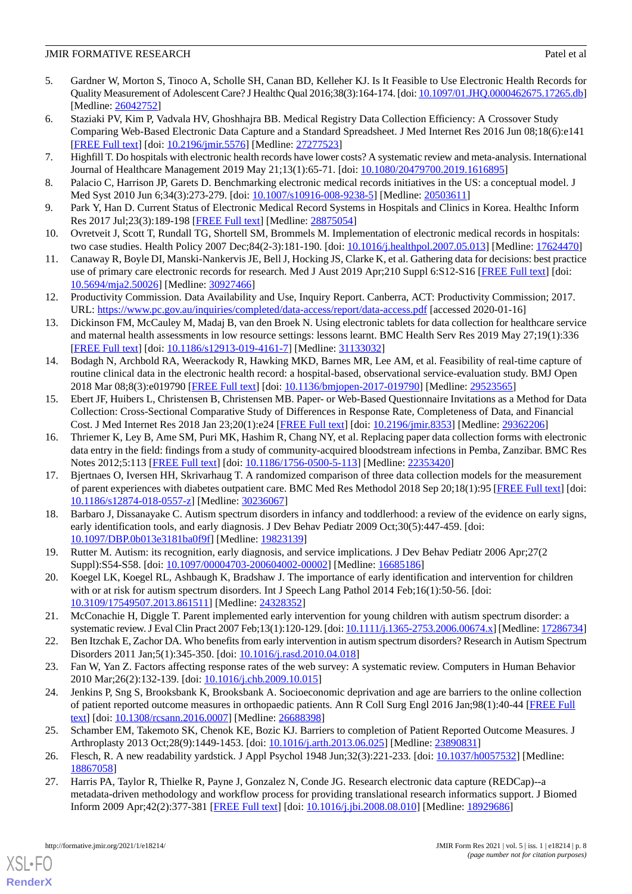#### **JMIR FORMATIVE RESEARCH Patel et al.** Patel et al. Patel et al. Patel et al.

- <span id="page-7-1"></span>5. Gardner W, Morton S, Tinoco A, Scholle SH, Canan BD, Kelleher KJ. Is It Feasible to Use Electronic Health Records for Quality Measurement of Adolescent Care? J Healthc Qual 2016;38(3):164-174. [doi: [10.1097/01.JHQ.0000462675.17265.db\]](http://dx.doi.org/10.1097/01.JHQ.0000462675.17265.db) [Medline: [26042752](http://www.ncbi.nlm.nih.gov/entrez/query.fcgi?cmd=Retrieve&db=PubMed&list_uids=26042752&dopt=Abstract)]
- 6. Staziaki PV, Kim P, Vadvala HV, Ghoshhajra BB. Medical Registry Data Collection Efficiency: A Crossover Study Comparing Web-Based Electronic Data Capture and a Standard Spreadsheet. J Med Internet Res 2016 Jun 08;18(6):e141 [[FREE Full text](http://www.jmir.org/2016/6/e141/)] [doi: [10.2196/jmir.5576](http://dx.doi.org/10.2196/jmir.5576)] [Medline: [27277523](http://www.ncbi.nlm.nih.gov/entrez/query.fcgi?cmd=Retrieve&db=PubMed&list_uids=27277523&dopt=Abstract)]
- <span id="page-7-2"></span><span id="page-7-0"></span>7. Highfill T. Do hospitals with electronic health records have lower costs? A systematic review and meta-analysis. International Journal of Healthcare Management 2019 May 21;13(1):65-71. [doi: [10.1080/20479700.2019.1616895](http://dx.doi.org/10.1080/20479700.2019.1616895)]
- 8. Palacio C, Harrison JP, Garets D. Benchmarking electronic medical records initiatives in the US: a conceptual model. J Med Syst 2010 Jun 6;34(3):273-279. [doi: [10.1007/s10916-008-9238-5](http://dx.doi.org/10.1007/s10916-008-9238-5)] [Medline: [20503611\]](http://www.ncbi.nlm.nih.gov/entrez/query.fcgi?cmd=Retrieve&db=PubMed&list_uids=20503611&dopt=Abstract)
- <span id="page-7-3"></span>9. Park Y, Han D. Current Status of Electronic Medical Record Systems in Hospitals and Clinics in Korea. Healthc Inform Res 2017 Jul;23(3):189-198 [[FREE Full text\]](http://www.e-hir.org/journal/viewJournal.html?year=2017&vol=023&num=03&page=189) [Medline: [28875054\]](http://www.ncbi.nlm.nih.gov/entrez/query.fcgi?cmd=Retrieve&db=PubMed&list_uids=28875054&dopt=Abstract)
- <span id="page-7-4"></span>10. Ovretveit J, Scott T, Rundall TG, Shortell SM, Brommels M. Implementation of electronic medical records in hospitals: two case studies. Health Policy 2007 Dec;84(2-3):181-190. [doi: [10.1016/j.healthpol.2007.05.013\]](http://dx.doi.org/10.1016/j.healthpol.2007.05.013) [Medline: [17624470](http://www.ncbi.nlm.nih.gov/entrez/query.fcgi?cmd=Retrieve&db=PubMed&list_uids=17624470&dopt=Abstract)]
- <span id="page-7-5"></span>11. Canaway R, Boyle DI, Manski-Nankervis JE, Bell J, Hocking JS, Clarke K, et al. Gathering data for decisions: best practice use of primary care electronic records for research. Med J Aust 2019 Apr;210 Suppl 6:S12-S16 [[FREE Full text](http://europepmc.org/abstract/MED/30927466)] [doi: [10.5694/mja2.50026](http://dx.doi.org/10.5694/mja2.50026)] [Medline: [30927466](http://www.ncbi.nlm.nih.gov/entrez/query.fcgi?cmd=Retrieve&db=PubMed&list_uids=30927466&dopt=Abstract)]
- <span id="page-7-6"></span>12. Productivity Commission. Data Availability and Use, Inquiry Report. Canberra, ACT: Productivity Commission; 2017. URL: <https://www.pc.gov.au/inquiries/completed/data-access/report/data-access.pdf> [accessed 2020-01-16]
- <span id="page-7-7"></span>13. Dickinson FM, McCauley M, Madaj B, van den Broek N. Using electronic tablets for data collection for healthcare service and maternal health assessments in low resource settings: lessons learnt. BMC Health Serv Res 2019 May 27;19(1):336 [[FREE Full text](https://bmchealthservres.biomedcentral.com/articles/10.1186/s12913-019-4161-7)] [doi: [10.1186/s12913-019-4161-7\]](http://dx.doi.org/10.1186/s12913-019-4161-7) [Medline: [31133032](http://www.ncbi.nlm.nih.gov/entrez/query.fcgi?cmd=Retrieve&db=PubMed&list_uids=31133032&dopt=Abstract)]
- <span id="page-7-8"></span>14. Bodagh N, Archbold RA, Weerackody R, Hawking MKD, Barnes MR, Lee AM, et al. Feasibility of real-time capture of routine clinical data in the electronic health record: a hospital-based, observational service-evaluation study. BMJ Open 2018 Mar 08;8(3):e019790 [[FREE Full text](http://bmjopen.bmj.com/cgi/pmidlookup?view=long&pmid=29523565)] [doi: [10.1136/bmjopen-2017-019790](http://dx.doi.org/10.1136/bmjopen-2017-019790)] [Medline: [29523565](http://www.ncbi.nlm.nih.gov/entrez/query.fcgi?cmd=Retrieve&db=PubMed&list_uids=29523565&dopt=Abstract)]
- <span id="page-7-9"></span>15. Ebert JF, Huibers L, Christensen B, Christensen MB. Paper- or Web-Based Questionnaire Invitations as a Method for Data Collection: Cross-Sectional Comparative Study of Differences in Response Rate, Completeness of Data, and Financial Cost. J Med Internet Res 2018 Jan 23;20(1):e24 [[FREE Full text](http://www.jmir.org/2018/1/e24/)] [doi: [10.2196/jmir.8353\]](http://dx.doi.org/10.2196/jmir.8353) [Medline: [29362206](http://www.ncbi.nlm.nih.gov/entrez/query.fcgi?cmd=Retrieve&db=PubMed&list_uids=29362206&dopt=Abstract)]
- <span id="page-7-10"></span>16. Thriemer K, Ley B, Ame SM, Puri MK, Hashim R, Chang NY, et al. Replacing paper data collection forms with electronic data entry in the field: findings from a study of community-acquired bloodstream infections in Pemba, Zanzibar. BMC Res Notes 2012;5:113 [[FREE Full text](http://www.biomedcentral.com/1756-0500/5/113)] [doi: [10.1186/1756-0500-5-113\]](http://dx.doi.org/10.1186/1756-0500-5-113) [Medline: [22353420](http://www.ncbi.nlm.nih.gov/entrez/query.fcgi?cmd=Retrieve&db=PubMed&list_uids=22353420&dopt=Abstract)]
- <span id="page-7-11"></span>17. Bjertnaes O, Iversen HH, Skrivarhaug T. A randomized comparison of three data collection models for the measurement of parent experiences with diabetes outpatient care. BMC Med Res Methodol 2018 Sep 20;18(1):95 [\[FREE Full text](https://bmcmedresmethodol.biomedcentral.com/articles/10.1186/s12874-018-0557-z)] [doi: [10.1186/s12874-018-0557-z](http://dx.doi.org/10.1186/s12874-018-0557-z)] [Medline: [30236067\]](http://www.ncbi.nlm.nih.gov/entrez/query.fcgi?cmd=Retrieve&db=PubMed&list_uids=30236067&dopt=Abstract)
- <span id="page-7-12"></span>18. Barbaro J, Dissanayake C. Autism spectrum disorders in infancy and toddlerhood: a review of the evidence on early signs, early identification tools, and early diagnosis. J Dev Behav Pediatr 2009 Oct;30(5):447-459. [doi: [10.1097/DBP.0b013e3181ba0f9f](http://dx.doi.org/10.1097/DBP.0b013e3181ba0f9f)] [Medline: [19823139\]](http://www.ncbi.nlm.nih.gov/entrez/query.fcgi?cmd=Retrieve&db=PubMed&list_uids=19823139&dopt=Abstract)
- <span id="page-7-13"></span>19. Rutter M. Autism: its recognition, early diagnosis, and service implications. J Dev Behav Pediatr 2006 Apr;27(2 Suppl):S54-S58. [doi: [10.1097/00004703-200604002-00002\]](http://dx.doi.org/10.1097/00004703-200604002-00002) [Medline: [16685186](http://www.ncbi.nlm.nih.gov/entrez/query.fcgi?cmd=Retrieve&db=PubMed&list_uids=16685186&dopt=Abstract)]
- <span id="page-7-14"></span>20. Koegel LK, Koegel RL, Ashbaugh K, Bradshaw J. The importance of early identification and intervention for children with or at risk for autism spectrum disorders. Int J Speech Lang Pathol 2014 Feb;16(1):50-56. [doi: [10.3109/17549507.2013.861511\]](http://dx.doi.org/10.3109/17549507.2013.861511) [Medline: [24328352\]](http://www.ncbi.nlm.nih.gov/entrez/query.fcgi?cmd=Retrieve&db=PubMed&list_uids=24328352&dopt=Abstract)
- <span id="page-7-16"></span><span id="page-7-15"></span>21. McConachie H, Diggle T. Parent implemented early intervention for young children with autism spectrum disorder: a systematic review. J Eval Clin Pract 2007 Feb;13(1):120-129. [doi: [10.1111/j.1365-2753.2006.00674.x](http://dx.doi.org/10.1111/j.1365-2753.2006.00674.x)] [Medline: [17286734](http://www.ncbi.nlm.nih.gov/entrez/query.fcgi?cmd=Retrieve&db=PubMed&list_uids=17286734&dopt=Abstract)]
- 22. Ben Itzchak E, Zachor DA. Who benefits from early intervention in autism spectrum disorders? Research in Autism Spectrum Disorders 2011 Jan;5(1):345-350. [doi: [10.1016/j.rasd.2010.04.018](http://dx.doi.org/10.1016/j.rasd.2010.04.018)]
- <span id="page-7-17"></span>23. Fan W, Yan Z. Factors affecting response rates of the web survey: A systematic review. Computers in Human Behavior 2010 Mar;26(2):132-139. [doi: [10.1016/j.chb.2009.10.015\]](http://dx.doi.org/10.1016/j.chb.2009.10.015)
- <span id="page-7-19"></span><span id="page-7-18"></span>24. Jenkins P, Sng S, Brooksbank K, Brooksbank A. Socioeconomic deprivation and age are barriers to the online collection of patient reported outcome measures in orthopaedic patients. Ann R Coll Surg Engl 2016 Jan;98(1):40-44 [\[FREE Full](http://europepmc.org/abstract/MED/26688398) [text](http://europepmc.org/abstract/MED/26688398)] [doi: [10.1308/rcsann.2016.0007\]](http://dx.doi.org/10.1308/rcsann.2016.0007) [Medline: [26688398\]](http://www.ncbi.nlm.nih.gov/entrez/query.fcgi?cmd=Retrieve&db=PubMed&list_uids=26688398&dopt=Abstract)
- 25. Schamber EM, Takemoto SK, Chenok KE, Bozic KJ. Barriers to completion of Patient Reported Outcome Measures. J Arthroplasty 2013 Oct;28(9):1449-1453. [doi: [10.1016/j.arth.2013.06.025](http://dx.doi.org/10.1016/j.arth.2013.06.025)] [Medline: [23890831\]](http://www.ncbi.nlm.nih.gov/entrez/query.fcgi?cmd=Retrieve&db=PubMed&list_uids=23890831&dopt=Abstract)
- 26. Flesch, R. A new readability yardstick. J Appl Psychol 1948 Jun;32(3):221-233. [doi: [10.1037/h0057532](http://dx.doi.org/10.1037/h0057532)] [Medline: [18867058](http://www.ncbi.nlm.nih.gov/entrez/query.fcgi?cmd=Retrieve&db=PubMed&list_uids=18867058&dopt=Abstract)]
- 27. Harris PA, Taylor R, Thielke R, Payne J, Gonzalez N, Conde JG. Research electronic data capture (REDCap)--a metadata-driven methodology and workflow process for providing translational research informatics support. J Biomed Inform 2009 Apr;42(2):377-381 [\[FREE Full text\]](http://linkinghub.elsevier.com/retrieve/pii/S1532-0464(08)00122-6) [doi: [10.1016/j.jbi.2008.08.010](http://dx.doi.org/10.1016/j.jbi.2008.08.010)] [Medline: [18929686](http://www.ncbi.nlm.nih.gov/entrez/query.fcgi?cmd=Retrieve&db=PubMed&list_uids=18929686&dopt=Abstract)]

[XSL](http://www.w3.org/Style/XSL)•FO **[RenderX](http://www.renderx.com/)**